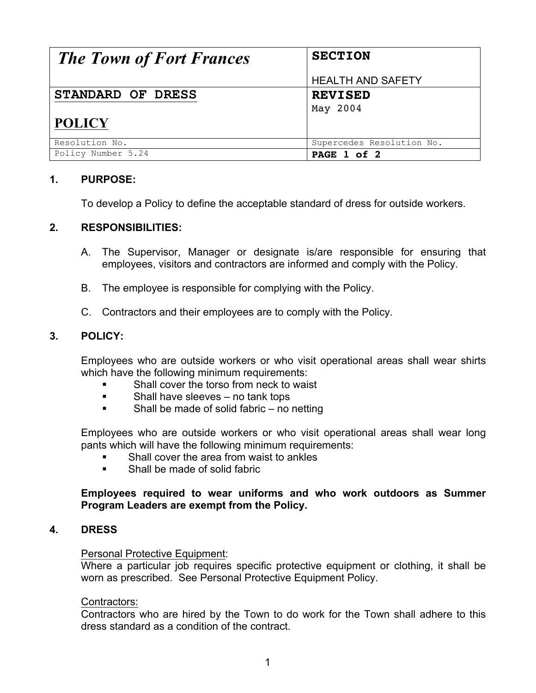| <b>The Town of Fort Frances</b> | <b>SECTION</b>            |
|---------------------------------|---------------------------|
|                                 | <b>HEALTH AND SAFETY</b>  |
| STANDARD OF DRESS               | <b>REVISED</b>            |
|                                 | May 2004                  |
| <b>POLICY</b>                   |                           |
| Resolution No.                  | Supercedes Resolution No. |
| Policy Number 5.24              | PAGE 1 of 2               |

# **1. PURPOSE:**

To develop a Policy to define the acceptable standard of dress for outside workers.

# **2. RESPONSIBILITIES:**

- A. The Supervisor, Manager or designate is/are responsible for ensuring that employees, visitors and contractors are informed and comply with the Policy.
- B. The employee is responsible for complying with the Policy.
- C. Contractors and their employees are to comply with the Policy.

## **3. POLICY:**

Employees who are outside workers or who visit operational areas shall wear shirts which have the following minimum requirements:

- Shall cover the torso from neck to waist
- **Example 1** Shall have sleeves no tank tops
- ! Shall be made of solid fabric no netting

Employees who are outside workers or who visit operational areas shall wear long pants which will have the following minimum requirements:

- Shall cover the area from waist to ankles
- **EXECUTE:** Shall be made of solid fabric

## **Employees required to wear uniforms and who work outdoors as Summer Program Leaders are exempt from the Policy.**

#### **4. DRESS**

#### Personal Protective Equipment:

Where a particular job requires specific protective equipment or clothing, it shall be worn as prescribed. See Personal Protective Equipment Policy.

#### Contractors:

Contractors who are hired by the Town to do work for the Town shall adhere to this dress standard as a condition of the contract.